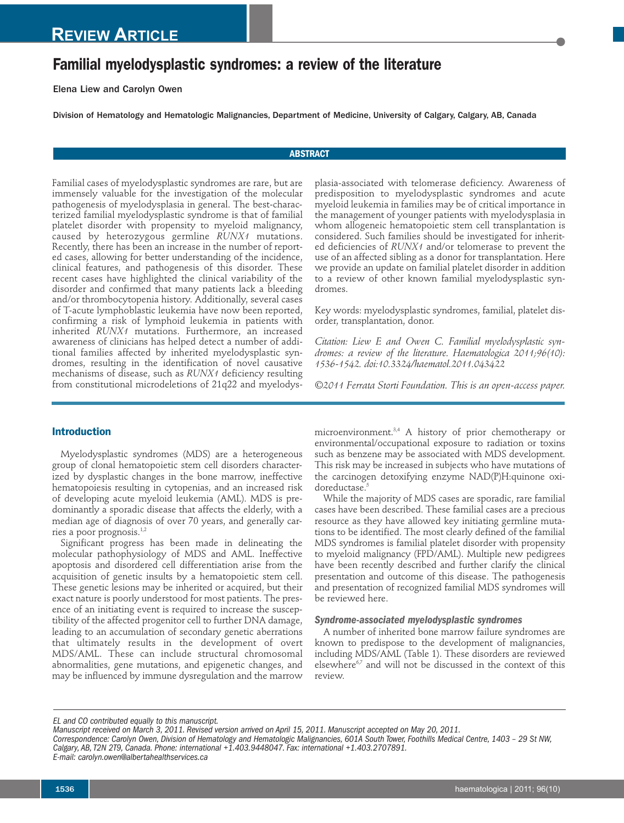# **Familial myelodysplastic syndromes: a review of the literature**

Elena Liew and Carolyn Owen

Division of Hematology and Hematologic Malignancies, Department of Medicine, University of Calgary, Calgary, AB, Canada

## **ABSTRACT**

Familial cases of myelodysplastic syndromes are rare, but are immensely valuable for the investigation of the molecular pathogenesis of myelodysplasia in general. The best-characterized familial myelodysplastic syndrome is that of familial platelet disorder with propensity to myeloid malignancy, caused by heterozygous germline *RUNX1* mutations. Recently, there has been an increase in the number of reported cases, allowing for better understanding of the incidence, clinical features, and pathogenesis of this disorder. These recent cases have highlighted the clinical variability of the disorder and confirmed that many patients lack a bleeding and/or thrombocytopenia history. Additionally, several cases of T-acute lymphoblastic leukemia have now been reported, confirming a risk of lymphoid leukemia in patients with inherited *RUNX1* mutations. Furthermore, an increased awareness of clinicians has helped detect a number of additional families affected by inherited myelodysplastic syndromes, resulting in the identification of novel causative mechanisms of disease, such as *RUNX1* deficiency resulting from constitutional microdeletions of 21q22 and myelodysplasia-associated with telomerase deficiency. Awareness of predisposition to myelodysplastic syndromes and acute myeloid leukemia in families may be of critical importance in the management of younger patients with myelodysplasia in whom allogeneic hematopoietic stem cell transplantation is considered. Such families should be investigated for inherited deficiencies of *RUNX1* and/or telomerase to prevent the use of an affected sibling as a donor for transplantation. Here we provide an update on familial platelet disorder in addition to a review of other known familial myelodysplastic syndromes.

Key words: myelodysplastic syndromes, familial, platelet disorder, transplantation, donor.

*Citation: Liew E and Owen C. Familial myelodysplastic syndromes: a review of the literature. Haematologica 2011;96(10): 1536-1542. doi:10.3324/haematol.2011.043422*

*©2011 Ferrata Storti Foundation. This is an open-access paper.*

# **Introduction**

Myelodysplastic syndromes (MDS) are a heterogeneous group of clonal hematopoietic stem cell disorders characterized by dysplastic changes in the bone marrow, ineffective hematopoiesis resulting in cytopenias, and an increased risk of developing acute myeloid leukemia (AML). MDS is predominantly a sporadic disease that affects the elderly, with a median age of diagnosis of over 70 years, and generally carries a poor prognosis. 1,2

Significant progress has been made in delineating the molecular pathophysiology of MDS and AML. Ineffective apoptosis and disordered cell differentiation arise from the acquisition of genetic insults by a hematopoietic stem cell. These genetic lesions may be inherited or acquired, but their exact nature is poorly understood for most patients. The presence of an initiating event is required to increase the susceptibility of the affected progenitor cell to further DNA damage, leading to an accumulation of secondary genetic aberrations that ultimately results in the development of overt MDS/AML. These can include structural chromosomal abnormalities, gene mutations, and epigenetic changes, and may be influenced by immune dysregulation and the marrow

microenvironment. 3,4 A history of prior chemotherapy or environmental/occupational exposure to radiation or toxins such as benzene may be associated with MDS development. This risk may be increased in subjects who have mutations of the carcinogen detoxifying enzyme NAD(P)H:quinone oxidoreductase. 5

While the majority of MDS cases are sporadic, rare familial cases have been described. These familial cases are a precious resource as they have allowed key initiating germline mutations to be identified. The most clearly defined of the familial MDS syndromes is familial platelet disorder with propensity to myeloid malignancy (FPD/AML). Multiple new pedigrees have been recently described and further clarify the clinical presentation and outcome of this disease. The pathogenesis and presentation of recognized familial MDS syndromes will be reviewed here.

# *Syndrome-associated myelodysplastic syndromes*

A number of inherited bone marrow failure syndromes are known to predispose to the development of malignancies, including MDS/AML (Table 1). These disorders are reviewed elsewhere<sup>6,7</sup> and will not be discussed in the context of this review.

*EL and CO contributed equally to this manuscript.*

*E-mail: carolyn.owen@albertahealthservices.ca*

Manuscript received on March 3, 2011. Revised version arrived on April 15, 2011. Manuscript accepted on May 20, 2011.

Correspondence: Carolyn Owen, Division of Hematology and Hematologic Malignancies, 601A South Tower, Foothills Medical Centre, 1403 - 29 St NW, *Calgary, AB,T2N 2T9, Canada. Phone: international +1.403.9448047. Fax: international +1.403.2707891.*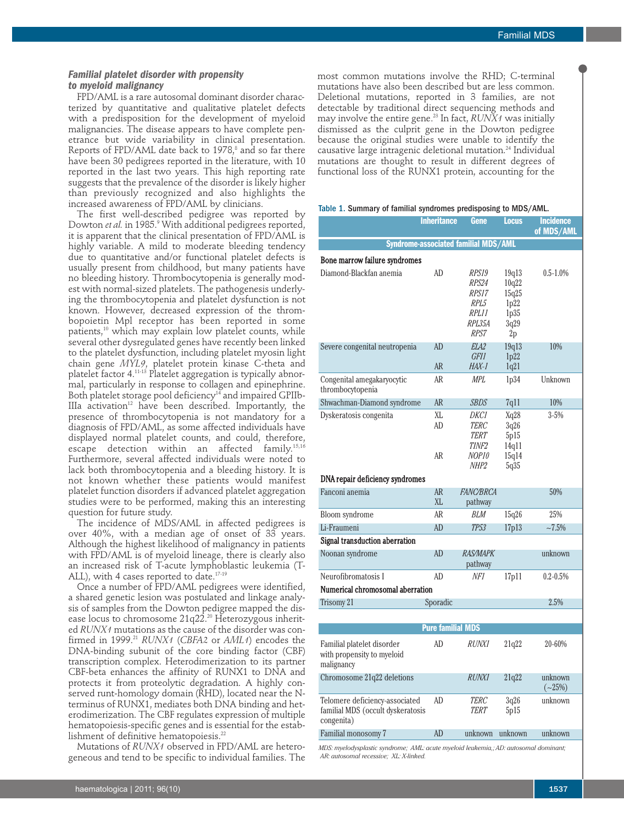## *Familial platelet disorder with propensity to myeloid malignancy*

FPD/AML is a rare autosomal dominant disorder characterized by quantitative and qualitative platelet defects with a predisposition for the development of myeloid malignancies. The disease appears to have complete penetrance but wide variability in clinical presentation. Reports of FPD/AML date back to 1978, <sup>8</sup> and so far there have been 30 pedigrees reported in the literature, with 10 reported in the last two years. This high reporting rate suggests that the prevalence of the disorder is likely higher than previously recognized and also highlights the increased awareness of FPD/AML by clinicians.

The first well-described pedigree was reported by Dowton *et al.* in 1985. <sup>9</sup> With additional pedigrees reported, it is apparent that the clinical presentation of FPD/AML is highly variable. A mild to moderate bleeding tendency due to quantitative and/or functional platelet defects is usually present from childhood, but many patients have no bleeding history. Thrombocytopenia is generally modest with normal-sized platelets. The pathogenesis underlying the thrombocytopenia and platelet dysfunction is not known. However, decreased expression of the thrombopoietin Mpl receptor has been reported in some patients, <sup>10</sup> which may explain low platelet counts, while several other dysregulated genes have recently been linked to the platelet dysfunction, including platelet myosin light chain gene *MYL9*, platelet protein kinase C-theta and platelet factor 4. 11-13 Platelet aggregation is typically abnormal, particularly in response to collagen and epinephrine. Both platelet storage pool deficiency<sup>14</sup> and impaired GPIIb-IIIa  $\arctan^{12}$  have been described. Importantly, the presence of thrombocytopenia is not mandatory for a diagnosis of FPD/AML, as some affected individuals have displayed normal platelet counts, and could, therefore, escape detection within an affected family. 15,16 Furthermore, several affected individuals were noted to lack both thrombocytopenia and a bleeding history. It is not known whether these patients would manifest platelet function disorders if advanced platelet aggregation studies were to be performed, making this an interesting question for future study.

The incidence of MDS/AML in affected pedigrees is over 40%, with a median age of onset of 33 years. Although the highest likelihood of malignancy in patients with FPD/AML is of myeloid lineage, there is clearly also an increased risk of T-acute lymphoblastic leukemia (T-ALL), with 4 cases reported to date.<sup>17-19</sup>

Once a number of FPD/AML pedigrees were identified, a shared genetic lesion was postulated and linkage analysis of samples from the Dowton pedigree mapped the disease locus to chromosome 21q22. <sup>20</sup> Heterozygous inherited *RUNX1* mutations as the cause of the disorder was confirmed in 1999. <sup>21</sup> *RUNX1* (*CBFA2* or *AML1*) encodes the DNA-binding subunit of the core binding factor (CBF) transcription complex. Heterodimerization to its partner CBF-beta enhances the affinity of RUNX1 to DNA and protects it from proteolytic degradation. A highly conserved runt-homology domain (RHD), located near the Nterminus of RUNX1, mediates both DNA binding and heterodimerization. The CBF regulates expression of multiple hematopoiesis-specific genes and is essential for the establishment of definitive hematopoiesis. 22

Mutations of *RUNX1* observed in FPD/AML are heterogeneous and tend to be specific to individual families. The most common mutations involve the RHD; C-terminal mutations have also been described but are less common. Deletional mutations, reported in 3 families, are not detectable by traditional direct sequencing methods and may involve the entire gene. <sup>23</sup> In fact, *RUNX1* was initially dismissed as the culprit gene in the Dowton pedigree because the original studies were unable to identify the causative large intragenic deletional mutation. <sup>24</sup> Individual mutations are thought to result in different degrees of functional loss of the RUNX1 protein, accounting for the

#### Table 1. Summary of familial syndromes predisposing to MDS/AML.

|                                                                                   | <b>Inheritance</b> | Gene                                                       | Locus                                                 | <b>Incidence</b><br>of MDS/AML |  |  |  |  |
|-----------------------------------------------------------------------------------|--------------------|------------------------------------------------------------|-------------------------------------------------------|--------------------------------|--|--|--|--|
|                                                                                   |                    | Syndrome-associated familial MDS/AML                       |                                                       |                                |  |  |  |  |
| Bone marrow failure syndromes                                                     |                    |                                                            |                                                       |                                |  |  |  |  |
| Diamond-Blackfan anemia                                                           | AD                 | RPS19<br>RPS24<br>RPS17<br>RPL5<br>RPL11<br>RPL35A<br>RPS7 | 19q13<br>10q22<br>15q25<br>1p22<br>1p35<br>3q29<br>2p | $0.5 - 1.0\%$                  |  |  |  |  |
| Severe congenital neutropenia                                                     | AD                 | ELA <sub>2</sub>                                           | 19q13                                                 | 10%                            |  |  |  |  |
|                                                                                   | <b>AR</b>          | <i>GFI1</i><br>HAX-1                                       | 1p22<br>1q21                                          |                                |  |  |  |  |
| Congenital amegakaryocytic<br>thrombocytopenia                                    | AR                 | MPL.                                                       | 1p34                                                  | Unknown                        |  |  |  |  |
| Shwachman-Diamond syndrome                                                        | <b>AR</b>          | <b>SBDS</b>                                                | 7q11                                                  | 10%                            |  |  |  |  |
| Dyskeratosis congenita                                                            | XL<br>AD<br>AR     | DKCI<br>TERC<br>TERT<br>TINF2<br>NOP10                     | Xq28<br>3q26<br>5p15<br>14q11                         | $3 - 5%$                       |  |  |  |  |
|                                                                                   |                    | NHP2                                                       | 15q14<br>5q35                                         |                                |  |  |  |  |
| DNA repair deficiency syndromes                                                   |                    |                                                            |                                                       |                                |  |  |  |  |
| Fanconi anemia                                                                    | <b>AR</b><br>XL    | <b>FANC/BRCA</b><br>pathway                                |                                                       | 50%                            |  |  |  |  |
| Bloom syndrome                                                                    | AR                 | BLM                                                        | 15q26                                                 | 25%                            |  |  |  |  |
| Li-Fraumeni                                                                       | AD                 | <b>TP53</b>                                                | 17p13                                                 | $~1.5\%$                       |  |  |  |  |
| Signal transduction aberration                                                    |                    |                                                            |                                                       |                                |  |  |  |  |
| Noonan syndrome                                                                   | AD                 | <b>RAS/MAPK</b><br>pathway                                 |                                                       | unknown                        |  |  |  |  |
| Neurofibromatosis I                                                               | AD                 | NF1                                                        | 17p11                                                 | $0.2 - 0.5\%$                  |  |  |  |  |
| Numerical chromosomal aberration                                                  |                    |                                                            |                                                       |                                |  |  |  |  |
| Trisomy 21                                                                        | Sporadic           |                                                            |                                                       | 2.5%                           |  |  |  |  |
|                                                                                   |                    |                                                            |                                                       |                                |  |  |  |  |
| <b>Pure familial MDS</b>                                                          |                    |                                                            |                                                       |                                |  |  |  |  |
| Familial platelet disorder<br>with propensity to myeloid<br>malignancy            | AD                 | <i>RUNX1</i>                                               | 21q22                                                 | 20-60%                         |  |  |  |  |
| Chromosome 21q22 deletions                                                        |                    | <b>RUNX1</b>                                               | 21q22                                                 | unknown<br>$({\sim}25%)$       |  |  |  |  |
| Telomere deficiency-associated<br>familial MDS (occult dyskeratosis<br>congenita) | AD                 | TERC<br>TERT                                               | 3q26<br>5p15                                          | unknown                        |  |  |  |  |
| Familial monosomy 7                                                               | AD                 | unknown                                                    | unknown                                               | unknown                        |  |  |  |  |
|                                                                                   |                    |                                                            |                                                       |                                |  |  |  |  |

*MDS: myelodysplastic syndrome; AML: acute myeloid leukemia,;AD: autosomal dominant; AR: autosomal recessive; XL: X-linked.*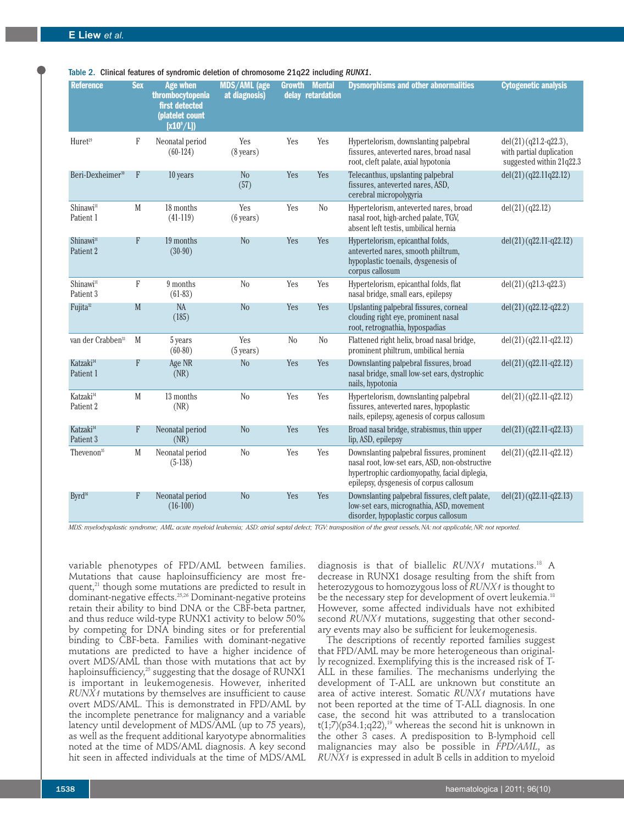Table 2. Clinical features of syndromic deletion of chromosome 21q22 including *RUNX1*.

| <b>Reference</b>                   | <b>Sex</b> | <b>Age when</b><br>thrombocytopenia<br>first detected<br>(platelet count<br>$[x10^{\circ}/L]$ | <b>MDS/AML</b> (age<br>at diagnosis) | <b>Growth</b> | <b>Mental</b><br>delay retardation | <b>Dysmorphisms and other abnormalities</b>                                                                                                                                              | <b>Cytogenetic analysis</b>                                                     |
|------------------------------------|------------|-----------------------------------------------------------------------------------------------|--------------------------------------|---------------|------------------------------------|------------------------------------------------------------------------------------------------------------------------------------------------------------------------------------------|---------------------------------------------------------------------------------|
| Huret <sup>29</sup>                | F          | Neonatal period<br>$(60-124)$                                                                 | Yes<br>$(8 \text{ years})$           | Yes           | Yes                                | Hypertelorism, downslanting palpebral<br>fissures, anteverted nares, broad nasal<br>root, cleft palate, axial hypotonia                                                                  | $del(21)(q21.2-q22.3),$<br>with partial duplication<br>suggested within 21q22.3 |
| Beri-Dexheimer <sup>30</sup>       | ${\rm F}$  | 10 years                                                                                      | N <sub>0</sub><br>(57)               | Yes           | Yes                                | Telecanthus, upslanting palpebral<br>fissures, anteverted nares, ASD,<br>cerebral micropolygyria                                                                                         | del(21)(q22.11q22.12)                                                           |
| Shinawi <sup>31</sup><br>Patient 1 | M          | 18 months<br>$(41-119)$                                                                       | Yes<br>$(6 \text{ years})$           | Yes           | N <sub>0</sub>                     | Hypertelorism, anteverted nares, broad<br>nasal root, high-arched palate, TGV,<br>absent left testis, umbilical hernia                                                                   | del(21)(q22.12)                                                                 |
| Shinawi <sup>31</sup><br>Patient 2 | F          | 19 months<br>$(30-90)$                                                                        | N <sub>o</sub>                       | Yes           | Yes                                | Hypertelorism, epicanthal folds,<br>anteverted nares, smooth philtrum,<br>hypoplastic toenails, dysgenesis of<br>corpus callosum                                                         | $del(21)$ (q22.11-q22.12)                                                       |
| Shinawi <sup>31</sup><br>Patient 3 | F          | 9 months<br>$(61-83)$                                                                         | N <sub>o</sub>                       | Yes           | Yes                                | Hypertelorism, epicanthal folds, flat<br>nasal bridge, small ears, epilepsy                                                                                                              | $del(21)(q21.3-q22.3)$                                                          |
| Fujita <sup>32</sup>               | M          | <b>NA</b><br>(185)                                                                            | N <sub>o</sub>                       | Yes           | Yes                                | Upslanting palpebral fissures, corneal<br>clouding right eye, prominent nasal<br>root, retrognathia, hypospadias                                                                         | $del(21)(q22.12-q22.2)$                                                         |
| van der Crabben <sup>33</sup>      | M          | 5 years<br>$(60-80)$                                                                          | Yes<br>$(5 \text{ years})$           | No            | N <sub>o</sub>                     | Flattened right helix, broad nasal bridge,<br>prominent philtrum, umbilical hernia                                                                                                       | $del(21) (q22.11-q22.12)$                                                       |
| Katzaki <sup>34</sup><br>Patient 1 | F          | Age NR<br>(NR)                                                                                | N <sub>o</sub>                       | Yes           | Yes                                | Downslanting palpebral fissures, broad<br>nasal bridge, small low-set ears, dystrophic<br>nails, hypotonia                                                                               | $del(21)(q22.11-q22.12)$                                                        |
| Katzaki <sup>34</sup><br>Patient 2 | M          | 13 months<br>(NR)                                                                             | N <sub>0</sub>                       | Yes           | Yes                                | Hypertelorism, downslanting palpebral<br>fissures, anteverted nares, hypoplastic<br>nails, epilepsy, agenesis of corpus callosum                                                         | $del(21) (q22.11-q22.12)$                                                       |
| Katzaki <sup>34</sup><br>Patient 3 | F          | Neonatal period<br>(NR)                                                                       | N <sub>o</sub>                       | Yes           | Yes                                | Broad nasal bridge, strabismus, thin upper<br>lip, ASD, epilepsy                                                                                                                         | $del(21)(q22.11-q22.13)$                                                        |
| Thevenon $35$                      | M          | Neonatal period<br>$(5-138)$                                                                  | N <sub>o</sub>                       | Yes           | Yes                                | Downslanting palpebral fissures, prominent<br>nasal root, low-set ears, ASD, non-obstructive<br>hypertrophic cardiomyopathy, facial diplegia,<br>epilepsy, dysgenesis of corpus callosum | $del(21)(q22.11-q22.12)$                                                        |
| Byrd <sup>36</sup>                 | F          | Neonatal period<br>$(16-100)$                                                                 | N <sub>o</sub>                       | Yes           | Yes                                | Downslanting palpebral fissures, cleft palate,<br>low-set ears, micrognathia, ASD, movement<br>disorder, hypoplastic corpus callosum                                                     | $del(21)(q22.11-q22.13)$                                                        |

MDS: myelodysplastic syndrome: AML: acute myeloid leukemia: ASD: atrial septal defect: TGV: transposition of the great vessels. NA: not applicable. NR: not reported.

variable phenotypes of FPD/AML between families. Mutations that cause haploinsufficiency are most frequent,<sup>21</sup> though some mutations are predicted to result in dominant-negative effects. 25,26 Dominant-negative proteins retain their ability to bind DNA or the CBF-beta partner, and thus reduce wild-type RUNX1 activity to below 50% by competing for DNA binding sites or for preferential binding to CBF-beta. Families with dominant-negative mutations are predicted to have a higher incidence of overt MDS/AML than those with mutations that act by haploinsufficiency, <sup>25</sup> suggesting that the dosage of RUNX1 is important in leukemogenesis. However, inherited *RUNX1* mutations by themselves are insufficient to cause overt MDS/AML. This is demonstrated in FPD/AML by the incomplete penetrance for malignancy and a variable latency until development of MDS/AML (up to 75 years), as well as the frequent additional karyotype abnormalities noted at the time of MDS/AML diagnosis. A key second hit seen in affected individuals at the time of MDS/AML

diagnosis is that of biallelic *RUNX1* mutations. <sup>18</sup> A decrease in RUNX1 dosage resulting from the shift from heterozygous to homozygous loss of *RUNX1* is thought to be the necessary step for development of overt leukemia. 18 However, some affected individuals have not exhibited second *RUNX1* mutations, suggesting that other secondary events may also be sufficient for leukemogenesis.

The descriptions of recently reported families suggest that FPD/AML may be more heterogeneous than originally recognized. Exemplifying this is the increased risk of T-ALL in these families. The mechanisms underlying the development of T-ALL are unknown but constitute an area of active interest. Somatic *RUNX1* mutations have not been reported at the time of T-ALL diagnosis. In one case, the second hit was attributed to a translocation t(1;7)(p34.1;q22), <sup>19</sup> whereas the second hit is unknown in the other 3 cases. A predisposition to B-lymphoid cell malignancies may also be possible in *FPD/AML*, as *RUNX1* is expressed in adult B cells in addition to myeloid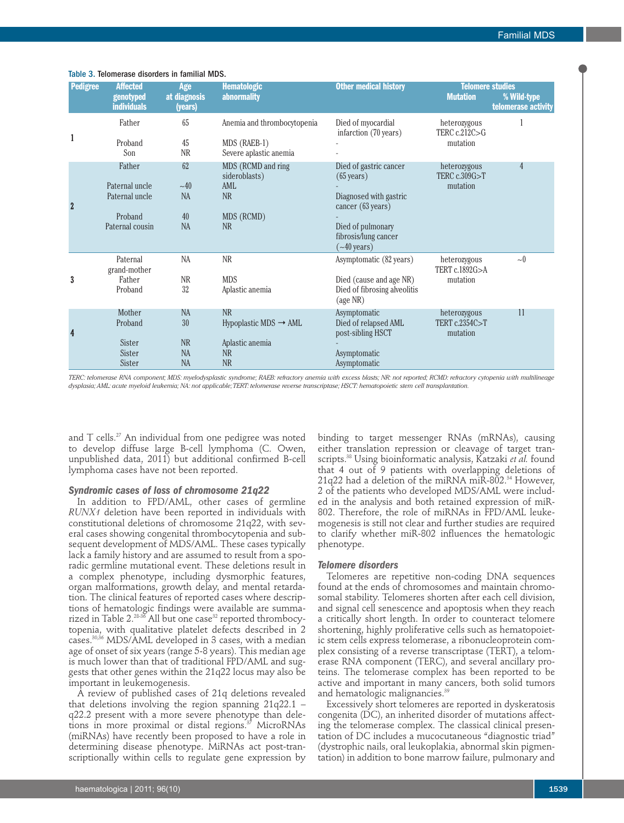| <b>Pedigree</b> | <b>Affected</b><br>genotyped<br><b>individuals</b>                       | Age<br>at diagnosis<br>(years)                  | <b>Hematologic</b><br><b>abnormality</b>                                                    | <b>Other medical history</b>                                                                                                                                     | <b>Telomere studies</b><br><b>Mutation</b> | % Wild-type<br>telomerase activity |
|-----------------|--------------------------------------------------------------------------|-------------------------------------------------|---------------------------------------------------------------------------------------------|------------------------------------------------------------------------------------------------------------------------------------------------------------------|--------------------------------------------|------------------------------------|
| 1               | Father<br>Proband<br>Son                                                 | 65<br>45<br>NR                                  | Anemia and thrombocytopenia<br>MDS (RAEB-1)<br>Severe aplastic anemia                       | Died of myocardial<br>infarction (70 years)                                                                                                                      | heterozygous<br>TERC c.212C>G<br>mutation  |                                    |
| $\overline{2}$  | Father<br>Paternal uncle<br>Paternal uncle<br>Proband<br>Paternal cousin | 62<br>~10<br><b>NA</b><br>40<br><b>NA</b>       | MDS (RCMD and ring<br>sideroblasts)<br>AML<br><b>NR</b><br>MDS (RCMD)<br><b>NR</b>          | Died of gastric cancer<br>$(65 \text{ years})$<br>Diagnosed with gastric<br>cancer (63 years)<br>Died of pulmonary<br>fibrosis/lung cancer<br>$({\sim}40$ years) | heterozygous<br>TERC c.309G>T<br>mutation  | $\overline{4}$                     |
| 3               | Paternal<br>grand-mother<br>Father<br>Proband                            | NA<br><b>NR</b><br>32                           | NR<br><b>MDS</b><br>Aplastic anemia                                                         | Asymptomatic (82 years)<br>Died (cause and age NR)<br>Died of fibrosing alveolitis<br>(age NR)                                                                   | heterozygous<br>TERT c.1892G>A<br>mutation | $\sim 0$                           |
| 4               | Mother<br>Proband<br>Sister<br>Sister<br>Sister                          | <b>NA</b><br>30<br>NR<br><b>NA</b><br><b>NA</b> | <b>NR</b><br>Hypoplastic MDS $\rightarrow$ AML<br>Aplastic anemia<br><b>NR</b><br><b>NR</b> | Asymptomatic<br>Died of relapsed AML<br>post-sibling HSCT<br>Asymptomatic<br>Asymptomatic                                                                        | heterozygous<br>TERT c.2354C>T<br>mutation | 11                                 |

#### Table 3. Telomerase disorders in familial MDS.

TERC: telomerase RNA component; MDS: myelodysplastic syndrome; RAEB: refractory anemia with excess blasts; NR: not reported; RCMD: refractory cytopenia with multilineage dysplasia; AML: acute myeloid leukemia; NA: not applicable; TERT: telomerase reverse transcriptase; HSCT: hematopoietic stem cell transplantation.

and T cells. $^{\scriptscriptstyle 27}$  An individual from one pedigree was noted to develop diffuse large B-cell lymphoma (C. Owen, unpublished data, 2011) but additional confirmed B-cell lymphoma cases have not been reported.

#### *Syndromic cases of loss of chromosome 21q22*

In addition to FPD/AML, other cases of germline *RUNX1* deletion have been reported in individuals with constitutional deletions of chromosome 21q22, with several cases showing congenital thrombocytopenia and subsequent development of MDS/AML. These cases typically lack a family history and are assumed to result from a sporadic germline mutational event. These deletions result in a complex phenotype, including dysmorphic features, organ malformations, growth delay, and mental retardation. The clinical features of reported cases where descriptions of hematologic findings were available are summarized in Table 2. $^{\scriptscriptstyle 28\text{-}36}$  All but one case $^{\scriptscriptstyle 32}$  reported thrombocytopenia, with qualitative platelet defects described in 2 cases. 30,36 MDS/AML developed in 3 cases, with a median age of onset of six years (range 5-8 years). This median age is much lower than that of traditional FPD/AML and suggests that other genes within the 21q22 locus may also be important in leukemogenesis.

A review of published cases of 21q deletions revealed that deletions involving the region spanning 21q22.1 – q22.2 present with a more severe phenotype than deletions in more proximal or distal regions. <sup>37</sup> MicroRNAs (miRNAs) have recently been proposed to have a role in determining disease phenotype. MiRNAs act post-transcriptionally within cells to regulate gene expression by

binding to target messenger RNAs (mRNAs), causing either translation repression or cleavage of target transcripts. <sup>38</sup> Using bioinformatic analysis, Katzaki *et al.* found that 4 out of 9 patients with overlapping deletions of 21q22 had a deletion of the miRNA miR-802. <sup>34</sup> However, 2 of the patients who developed MDS/AML were included in the analysis and both retained expression of miR-802. Therefore, the role of miRNAs in FPD/AML leukemogenesis is still not clear and further studies are required to clarify whether miR-802 influences the hematologic phenotype.

#### *Telomere disorders*

Telomeres are repetitive non-coding DNA sequences found at the ends of chromosomes and maintain chromosomal stability. Telomeres shorten after each cell division, and signal cell senescence and apoptosis when they reach a critically short length. In order to counteract telomere shortening, highly proliferative cells such as hematopoietic stem cells express telomerase, a ribonucleoprotein complex consisting of a reverse transcriptase (TERT), a telomerase RNA component (TERC), and several ancillary proteins. The telomerase complex has been reported to be active and important in many cancers, both solid tumors and hematologic malignancies. 39

Excessively short telomeres are reported in dyskeratosis congenita (DC), an inherited disorder of mutations affecting the telomerase complex. The classical clinical presentation of DC includes a mucocutaneous "diagnostic triad" (dystrophic nails, oral leukoplakia, abnormal skin pigmentation) in addition to bone marrow failure, pulmonary and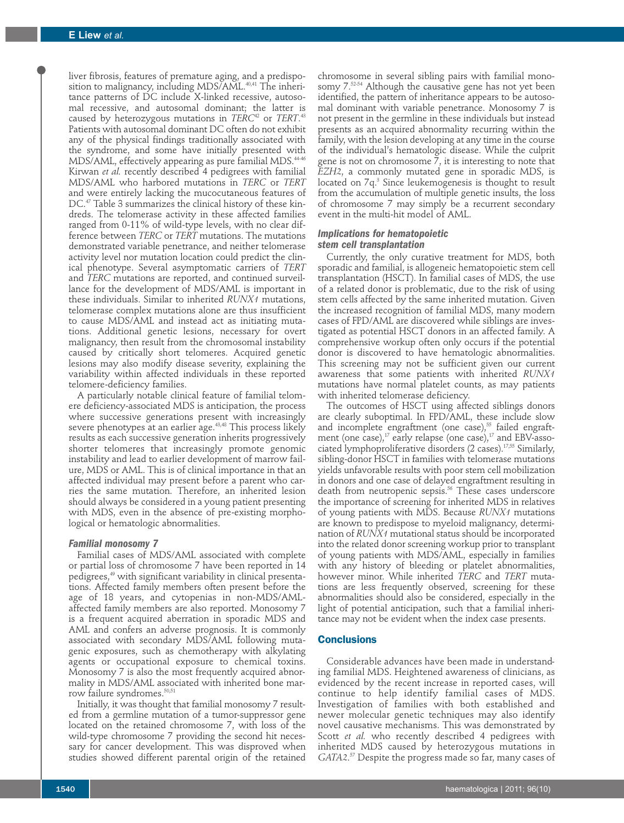liver fibrosis, features of premature aging, and a predisposition to malignancy, including MDS/AML. $^{\scriptscriptstyle 40,41}$  The inheritance patterns of DC include X-linked recessive, autosomal recessive, and autosomal dominant; the latter is caused by heterozygous mutations in *TERC*<sup>42</sup> or *TERT*. 43 Patients with autosomal dominant DC often do not exhibit any of the physical findings traditionally associated with the syndrome, and some have initially presented with MDS/AML, effectively appearing as pure familial MDS. 44-46 Kirwan *et al.* recently described 4 pedigrees with familial MDS/AML who harbored mutations in *TERC* or *TERT* and were entirely lacking the mucocutaneous features of DC. <sup>47</sup> Table 3 summarizes the clinical history of these kindreds. The telomerase activity in these affected families ranged from 0-11% of wild-type levels, with no clear difference between *TERC* or *TERT* mutations. The mutations demonstrated variable penetrance, and neither telomerase activity level nor mutation location could predict the clinical phenotype. Several asymptomatic carriers of *TERT* and *TERC* mutations are reported, and continued surveillance for the development of MDS/AML is important in these individuals. Similar to inherited *RUNX1* mutations, telomerase complex mutations alone are thus insufficient to cause MDS/AML and instead act as initiating mutations. Additional genetic lesions, necessary for overt malignancy, then result from the chromosomal instability caused by critically short telomeres. Acquired genetic lesions may also modify disease severity, explaining the variability within affected individuals in these reported telomere-deficiency families.

A particularly notable clinical feature of familial telomere deficiency-associated MDS is anticipation, the process where successive generations present with increasingly severe phenotypes at an earlier age. 43,48 This process likely results as each successive generation inherits progressively shorter telomeres that increasingly promote genomic instability and lead to earlier development of marrow failure, MDS or AML. This is of clinical importance in that an affected individual may present before a parent who carries the same mutation. Therefore, an inherited lesion should always be considered in a young patient presenting with MDS, even in the absence of pre-existing morphological or hematologic abnormalities.

### *Familial monosomy 7*

Familial cases of MDS/AML associated with complete or partial loss of chromosome 7 have been reported in 14 pedigrees, <sup>49</sup> with significant variability in clinical presentations. Affected family members often present before the age of 18 years, and cytopenias in non-MDS/AMLaffected family members are also reported. Monosomy 7 is a frequent acquired aberration in sporadic MDS and AML and confers an adverse prognosis. It is commonly associated with secondary MDS/AML following mutagenic exposures, such as chemotherapy with alkylating agents or occupational exposure to chemical toxins. Monosomy 7 is also the most frequently acquired abnormality in MDS/AML associated with inherited bone marrow failure syndromes. 50,51

Initially, it was thought that familial monosomy 7 resulted from a germline mutation of a tumor-suppressor gene located on the retained chromosome 7, with loss of the wild-type chromosome 7 providing the second hit necessary for cancer development. This was disproved when studies showed different parental origin of the retained

chromosome in several sibling pairs with familial monosomy 7. 52-54 Although the causative gene has not yet been identified, the pattern of inheritance appears to be autosomal dominant with variable penetrance. Monosomy 7 is not present in the germline in these individuals but instead presents as an acquired abnormality recurring within the family, with the lesion developing at any time in the course of the individual's hematologic disease. While the culprit gene is not on chromosome 7, it is interesting to note that *EZH2*, a commonly mutated gene in sporadic MDS, is located on 7q. <sup>3</sup> Since leukemogenesis is thought to result from the accumulation of multiple genetic insults, the loss of chromosome 7 may simply be a recurrent secondary event in the multi-hit model of AML.

## *Implications for hematopoietic stem cell transplantation*

Currently, the only curative treatment for MDS, both sporadic and familial, is allogeneic hematopoietic stem cell transplantation (HSCT). In familial cases of MDS, the use of a related donor is problematic, due to the risk of using stem cells affected by the same inherited mutation. Given the increased recognition of familial MDS, many modern cases of FPD/AML are discovered while siblings are investigated as potential HSCT donors in an affected family. A comprehensive workup often only occurs if the potential donor is discovered to have hematologic abnormalities. This screening may not be sufficient given our current awareness that some patients with inherited *RUNX1* mutations have normal platelet counts, as may patients with inherited telomerase deficiency.

The outcomes of HSCT using affected siblings donors are clearly suboptimal. In FPD/AML, these include slow and incomplete engraftment (one case), <sup>55</sup> failed engraftment (one case), $^{\prime\prime}$  early relapse (one case), $^{\prime\prime}$  and EBV-associated lymphoproliferative disorders (2 cases). 17,55 Similarly, sibling-donor HSCT in families with telomerase mutations yields unfavorable results with poor stem cell mobilization in donors and one case of delayed engraftment resulting in death from neutropenic sepsis. <sup>56</sup> These cases underscore the importance of screening for inherited MDS in relatives of young patients with MDS. Because *RUNX1* mutations are known to predispose to myeloid malignancy, determination of *RUNX1* mutational status should be incorporated into the related donor screening workup prior to transplant of young patients with MDS/AML, especially in families with any history of bleeding or platelet abnormalities, however minor. While inherited *TERC* and *TERT* mutations are less frequently observed, screening for these abnormalities should also be considered, especially in the light of potential anticipation, such that a familial inheritance may not be evident when the index case presents.

## **Conclusions**

Considerable advances have been made in understanding familial MDS. Heightened awareness of clinicians, as evidenced by the recent increase in reported cases, will continue to help identify familial cases of MDS. Investigation of families with both established and newer molecular genetic techniques may also identify novel causative mechanisms. This was demonstrated by Scott *et al.* who recently described 4 pedigrees with inherited MDS caused by heterozygous mutations in *GATA2*. <sup>57</sup> Despite the progress made so far, many cases of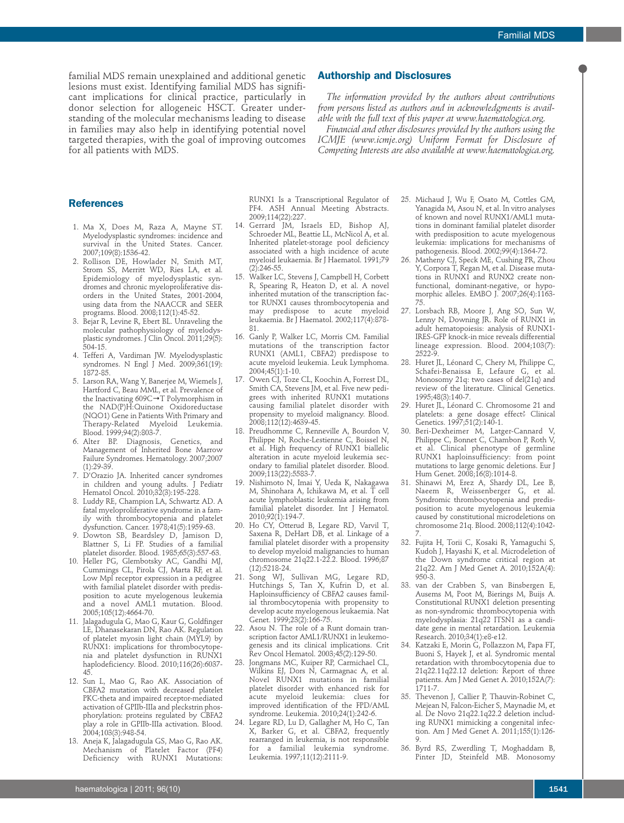familial MDS remain unexplained and additional genetic lesions must exist. Identifying familial MDS has significant implications for clinical practice, particularly in donor selection for allogeneic HSCT. Greater understanding of the molecular mechanisms leading to disease in families may also help in identifying potential novel targeted therapies, with the goal of improving outcomes for all patients with MDS.

# **Authorship and Disclosures**

*The information provided by the authors about contributions from persons listed as authors and in acknowledgments is available with the full text of this paper at www.haematologica.org.*

*Financial and other disclosures provided by the authors using the ICMJE (www.icmje.org) Uniform Format for Disclosure of Competing Interests are also available at www.haematologica.org.*

# **References**

- 1. Ma X, Does M, Raza A, Mayne ST. Myelodysplastic syndromes: incidence and survival in the United States. Cancer. 2007;109(8):1536-42.
- 2. Rollison DE, Howlader N, Smith MT, Strom SS, Merritt WD, Ries LA, et al. Epidemiology of myelodysplastic syndromes and chronic myeloproliferative disorders in the United States, 2001-2004, using data from the NAACCR and SEER programs. Blood. 2008;112(1):45-52.
- 3. Bejar R, Levine R, Ebert BL. Unraveling the molecular pathophysiology of myelodysplastic syndromes. J Clin Oncol. 2011;29(5): 504-15.
- 4. Tefferi A, Vardiman JW. Myelodysplastic syndromes. N Engl J Med. 2009;361(19): 1872-85.
- 5. Larson RA, Wang Y, Banerjee M, Wiemels J, Hartford C, Beau MML, et al. Prevalence of the Inactivating 609C→T Polymorphism in the NAD(P)H:Quinone Oxidoreductase (NQO1) Gene in Patients With Primary and Therapy-Related Myeloid Leukemia. Blood. 1999;94(2):803-7.
- 6. Alter BP. Diagnosis, Genetics, and Management of Inherited Bone Marrow Failure Syndromes. Hematology. 2007;2007  $(1):29-39.$
- 7. D'Orazio JA. Inherited cancer syndromes in children and young adults. J Pediatr Hematol Oncol. 2010;32(3):195-228.
- 8. Luddy RE, Champion LA, Schwartz AD. A fatal myeloproliferative syndrome in a family with thrombocytopenia and platelet dysfunction. Cancer. 1978;41(5):1959-63.
- 9. Dowton SB, Beardsley D, Jamison D, Blattner S, Li FP. Studies of a familial platelet disorder. Blood. 1985;65(3):557-63.
- 10. Heller PG, Glembotsky AC, Gandhi MJ, Cummings CL, Pirola CJ, Marta RF, et al. Low Mpl receptor expression in a pedigree with familial platelet disorder with predisposition to acute myelogenous leukemia and a novel AML1 mutation. Blood. 2005;105(12):4664-70.
- 11. Jalagadugula G, Mao G, Kaur G, Goldfinger LE, Dhanasekaran DN, Rao AK. Regulation of platelet myosin light chain (MYL9) by RUNX1: implications for thrombocytopenia and platelet dysfunction in RUNX1 haplodeficiency. Blood. 2010;116(26):6037- 45.
- 12. Sun L, Mao G, Rao AK. Association of CBFA2 mutation with decreased platelet PKC-theta and impaired receptor-mediated activation of GPIIb-IIIa and pleckstrin phosphorylation: proteins regulated by CBFA2 play a role in GPIIb-IIIa activation. Blood. 2004;103(3):948-54.
- 13. Aneja K, Jalagadugula GS, Mao G, Rao AK. Mechanism of Platelet Factor (PF4) Deficiency with RUNX1 Mutations:

RUNX1 Is a Transcriptional Regulator of PF4. ASH Annual Meeting Abstracts. 2009;114(22):227.

- 14. Gerrard JM, Israels ED, Bishop AJ, Schroeder ML, Beattie LL, McNicol A, et al. Inherited platelet-storage pool deficiency associated with a high incidence of acute myeloid leukaemia. Br J Haematol. 1991;79 (2):246-55.
- 15. Walker LC, Stevens J, Campbell H, Corbett R, Spearing R, Heaton D, et al. A novel inherited mutation of the transcription factor RUNX1 causes thrombocytopenia and may predispose to acute myeloid leukaemia. Br J Haematol. 2002;117(4):878- 81.
- 16. Ganly P, Walker LC, Morris CM. Familial mutations of the transcription factor RUNX1 (AML1, CBFA2) predispose to acute myeloid leukemia. Leuk Lymphoma. 2004;45(1):1-10.
- 17. Owen CJ, Toze CL, Koochin A, Forrest DL, Smith CA, Stevens JM, et al. Five new pedigrees with inherited RUNX1 mutations causing familial platelet disorder with propensity to myeloid malignancy. Blood. 2008;112(12):4639-45.
- 18. Preudhomme C, Renneville A, Bourdon V, Philippe N, Roche-Lestienne C, Boissel N, et al. High frequency of RUNX1 biallelic alteration in acute myeloid leukemia secondary to familial platelet disorder. Blood. 2009;113(22):5583-7.
- 19. Nishimoto N, Imai Y, Ueda K, Nakagawa M, Shinohara A, Ichikawa M, et al. T cell acute lymphoblastic leukemia arising from familial platelet disorder. Int J Hematol. 2010;92(1):194-7.
- 20. Ho CY, Otterud B, Legare RD, Varvil T, Saxena R, DeHart DB, et al. Linkage of a familial platelet disorder with a propensity to develop myeloid malignancies to human chromosome 21q22.1-22.2. Blood. 1996;87 (12):5218-24.
- 21. Song WJ, Sullivan MG, Legare RD, Hutchings S, Tan X, Kufrin D, et al. Haploinsufficiency of CBFA2 causes familial thrombocytopenia with propensity to develop acute myelogenous leukaemia. Nat Genet. 1999;23(2):166-75.
- 22. Asou N. The role of a Runt domain transcription factor AML1/RUNX1 in leukemogenesis and its clinical implications. Crit Rev Oncol Hematol. 2003;45(2):129-50.
- 23. Jongmans MC, Kuiper RP, Carmichael CL, Wilkins EJ, Dors N, Carmagnac A, et al. Novel RUNX1 mutations in familial platelet disorder with enhanced risk for acute myeloid leukemia: clues for improved identification of the FPD/AML syndrome. Leukemia. 2010;24(1):242-6.
- 24. Legare RD, Lu D, Gallagher M, Ho C, Tan X, Barker G, et al. CBFA2, frequently rearranged in leukemia, is not responsible for a familial leukemia syndrome. Leukemia. 1997;11(12):2111-9.
- 25. Michaud J, Wu F, Osato M, Cottles GM, Yanagida M, Asou N, et al. In vitro analyses of known and novel RUNX1/AML1 mutations in dominant familial platelet disorder with predisposition to acute myelogenous leukemia: implications for mechanisms of pathogenesis. Blood. 2002;99(4):1364-72.
- 26. Matheny CJ, Speck ME, Cushing PR, Zhou Y, Corpora T, Regan M, et al. Disease mutations in RUNX1 and RUNX2 create nonfunctional, dominant-negative, or hypomorphic alleles. EMBO J. 2007;26(4):1163- 75.
- 27. Lorsbach RB, Moore J, Ang SO, Sun W, Lenny N, Downing JR. Role of RUNX1 in adult hematopoiesis: analysis of RUNX1- IRES-GFP knock-in mice reveals differential lineage expression. Blood. 2004;103(7): 2522-9.
- 28. Huret JL, Léonard C, Chery M, Philippe C, Schafei-Benaissa E, Lefaure G, et al. Monosomy 21q: two cases of del(21q) and review of the literature. Clinical Genetics. 1995;48(3):140-7.
- 29. Huret JL, Léonard C. Chromosome 21 and platelets: a gene dosage effect? Clinical Genetics. 1997;51(2):140-1.
- 30. Beri-Dexheimer M, Latger-Cannard V, Philippe C, Bonnet C, Chambon P, Roth V, et al. Clinical phenotype of germline RUNX1 haploinsufficiency: from point mutations to large genomic deletions. Eur J Hum Genet. 2008;16(8):1014-8.
- 31. Shinawi M, Erez A, Shardy DL, Lee B, Naeem R, Weissenberger G, et al. Syndromic thrombocytopenia and predisposition to acute myelogenous leukemia caused by constitutional microdeletions on chromosome 21q. Blood. 2008;112(4):1042- 7.
- 32. Fujita H, Torii C, Kosaki R, Yamaguchi S, Kudoh J, Hayashi K, et al. Microdeletion of the Down syndrome critical region at 21q22. Am J Med Genet A. 2010;152A(4): 950-3.
- 33. van der Crabben S, van Binsbergen E, Ausems M, Poot M, Bierings M, Buijs A. Constitutional RUNX1 deletion presenting as non-syndromic thrombocytopenia with myelodysplasia: 21q22 ITSN1 as a candidate gene in mental retardation. Leukemia Research. 2010;34(1):e8-e12.
- 34. Katzaki E, Morin G, Pollazzon M, Papa FT, Buoni S, Hayek J, et al. Syndromic mental retardation with thrombocytopenia due to 21q22.11q22.12 deletion: Report of three patients. Am J Med Genet A. 2010;152A(7): 1711-7.
- 35. Thevenon J, Callier P, Thauvin-Robinet C, Mejean N, Falcon-Eicher S, Maynadie M, et al. De Novo 21q22.1q22.2 deletion including RUNX1 mimicking a congenital infection. Am J Med Genet A. 2011;155(1):126- 9.
- 36. Byrd RS, Zwerdling T, Moghaddam B, Pinter JD, Steinfeld MB. Monosomy